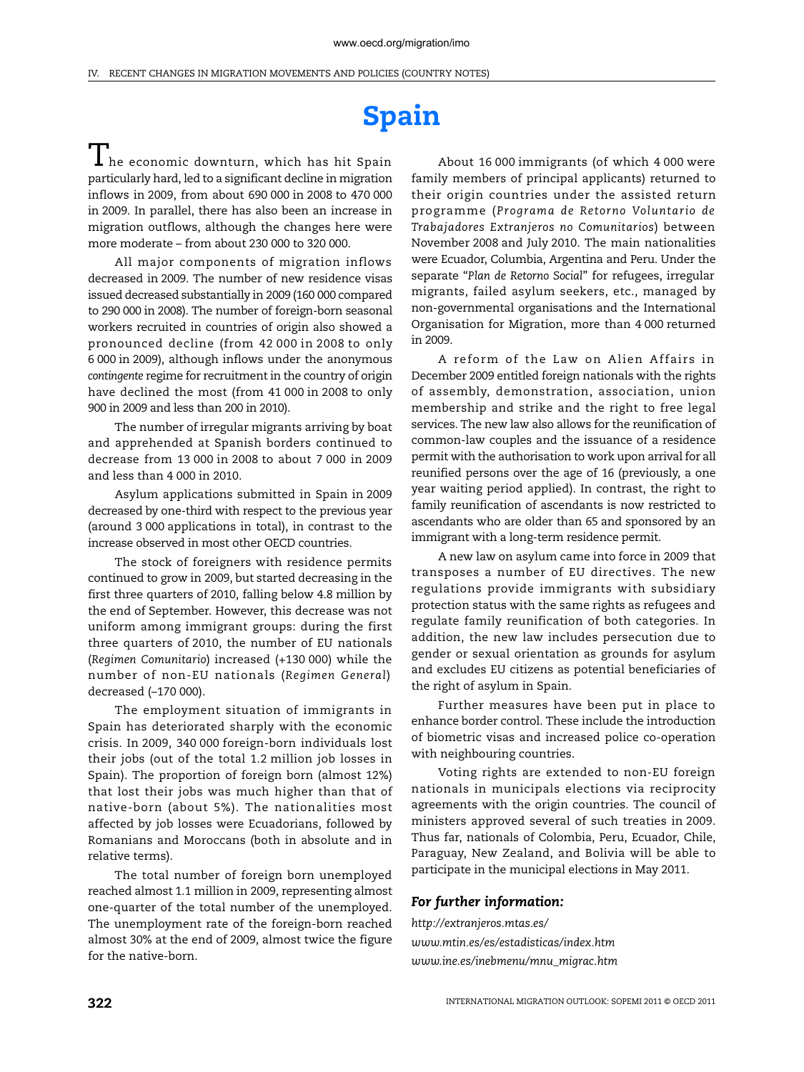## **Spain**

 $\mathbf 1$  he economic downturn, which has hit Spain particularly hard, led to a significant decline in migration inflows in 2009, from about 690 000 in 2008 to 470 000 in 2009. In parallel, there has also been an increase in migration outflows, although the changes here were more moderate – from about 230 000 to 320 000.

All major components of migration inflows decreased in 2009. The number of new residence visas issued decreased substantially in 2009 (160 000 compared to 290 000 in 2008). The number of foreign-born seasonal workers recruited in countries of origin also showed a pronounced decline (from 42 000 in 2008 to only 6 000 in 2009), although inflows under the anonymous *contingente* regime for recruitment in the country of origin have declined the most (from 41 000 in 2008 to only 900 in 2009 and less than 200 in 2010).

The number of irregular migrants arriving by boat and apprehended at Spanish borders continued to decrease from 13 000 in 2008 to about 7 000 in 2009 and less than 4 000 in 2010.

Asylum applications submitted in Spain in 2009 decreased by one-third with respect to the previous year (around 3 000 applications in total), in contrast to the increase observed in most other OECD countries.

The stock of foreigners with residence permits continued to grow in 2009, but started decreasing in the first three quarters of 2010, falling below 4.8 million by the end of September. However, this decrease was not uniform among immigrant groups: during the first three quarters of 2010, the number of EU nationals (*Regimen Comunitario*) increased (+130 000) while the number of non-EU nationals (*Regimen General*) decreased (–170 000).

The employment situation of immigrants in Spain has deteriorated sharply with the economic crisis. In 2009, 340 000 foreign-born individuals lost their jobs (out of the total 1.2 million job losses in Spain). The proportion of foreign born (almost 12%) that lost their jobs was much higher than that of native-born (about 5%). The nationalities most affected by job losses were Ecuadorians, followed by Romanians and Moroccans (both in absolute and in relative terms).

The total number of foreign born unemployed reached almost 1.1 million in 2009, representing almost one-quarter of the total number of the unemployed. The unemployment rate of the foreign-born reached almost 30% at the end of 2009, almost twice the figure for the native-born.

About 16 000 immigrants (of which 4 000 were family members of principal applicants) returned to their origin countries under the assisted return programme (*Programa de Retorno Voluntario de Trabajadores Extranjeros no Comunitarios*) between November 2008 and July 2010. The main nationalities were Ecuador, Columbia, Argentina and Peru. Under the separate "*Plan de Retorno Social*" for refugees, irregular migrants, failed asylum seekers, etc., managed by non-governmental organisations and the International Organisation for Migration, more than 4 000 returned in 2009.

A reform of the Law on Alien Affairs in December 2009 entitled foreign nationals with the rights of assembly, demonstration, association, union membership and strike and the right to free legal services. The new law also allows for the reunification of common-law couples and the issuance of a residence permit with the authorisation to work upon arrival for all reunified persons over the age of 16 (previously, a one year waiting period applied). In contrast, the right to family reunification of ascendants is now restricted to ascendants who are older than 65 and sponsored by an immigrant with a long-term residence permit.

A new law on asylum came into force in 2009 that transposes a number of EU directives. The new regulations provide immigrants with subsidiary protection status with the same rights as refugees and regulate family reunification of both categories. In addition, the new law includes persecution due to gender or sexual orientation as grounds for asylum and excludes EU citizens as potential beneficiaries of the right of asylum in Spain.

Further measures have been put in place to enhance border control. These include the introduction of biometric visas and increased police co-operation with neighbouring countries.

Voting rights are extended to non-EU foreign nationals in municipals elections via reciprocity agreements with the origin countries. The council of ministers approved several of such treaties in 2009. Thus far, nationals of Colombia, Peru, Ecuador, Chile, Paraguay, New Zealand, and Bolivia will be able to participate in the municipal elections in May 2011.

## *For further information:*

*<http://extranjeros.mtas.es/> [www.mtin.es/es/estadisticas/index.htm](http://www.mtin.es/es/estadisticas/index.htm) [www.ine.es/inebmenu/mnu\\_migrac.htm](http://www.ine.es/inebmenu/mnu_migrac.htm)*